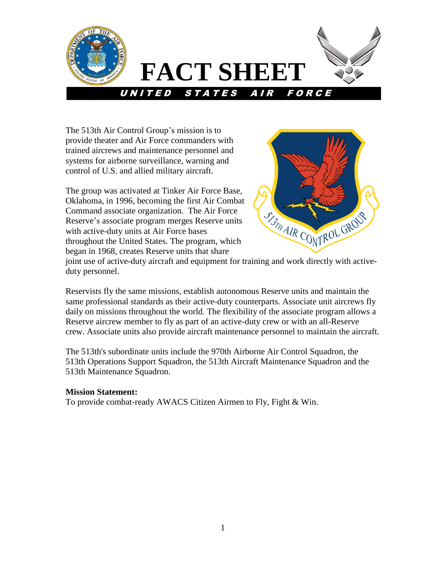

The 513th Air Control Group's mission is to provide theater and Air Force commanders with trained aircrews and maintenance personnel and systems for airborne surveillance, warning and control of U.S. and allied military aircraft.

The group was activated at Tinker Air Force Base, Oklahoma, in 1996, becoming the first Air Combat Command associate organization. The Air Force Reserve's associate program merges Reserve units with active-duty units at Air Force bases throughout the United States. The program, which began in 1968, creates Reserve units that share



joint use of active-duty aircraft and equipment for training and work directly with activeduty personnel.

Reservists fly the same missions, establish autonomous Reserve units and maintain the same professional standards as their active-duty counterparts. Associate unit aircrews fly daily on missions throughout the world. The flexibility of the associate program allows a Reserve aircrew member to fly as part of an active-duty crew or with an all-Reserve crew. Associate units also provide aircraft maintenance personnel to maintain the aircraft.

The 513th's subordinate units include the 970th Airborne Air Control Squadron, the 513th Operations Support Squadron, the 513th Aircraft Maintenance Squadron and the 513th Maintenance Squadron.

# **Mission Statement:**

To provide combat-ready AWACS Citizen Airmen to Fly, Fight & Win.